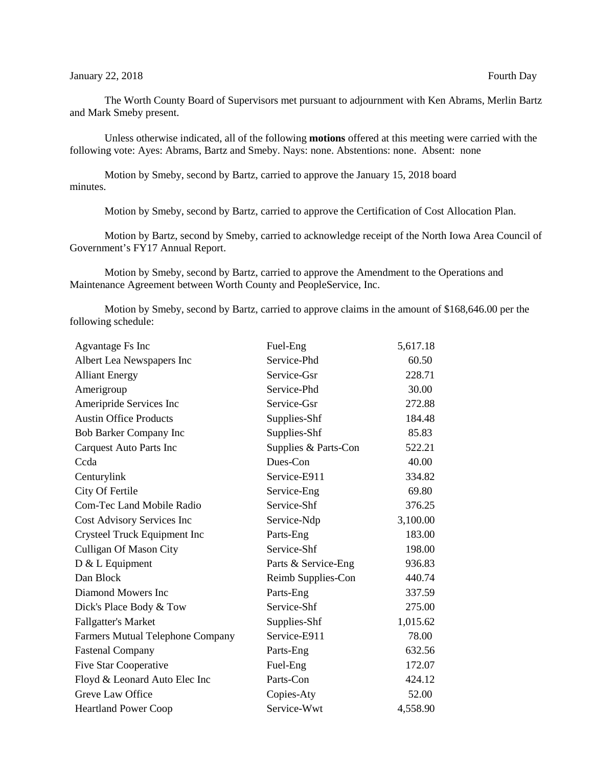The Worth County Board of Supervisors met pursuant to adjournment with Ken Abrams, Merlin Bartz and Mark Smeby present.

Unless otherwise indicated, all of the following **motions** offered at this meeting were carried with the following vote: Ayes: Abrams, Bartz and Smeby. Nays: none. Abstentions: none. Absent: none

Motion by Smeby, second by Bartz, carried to approve the January 15, 2018 board minutes.

Motion by Smeby, second by Bartz, carried to approve the Certification of Cost Allocation Plan.

Motion by Bartz, second by Smeby, carried to acknowledge receipt of the North Iowa Area Council of Government's FY17 Annual Report.

Motion by Smeby, second by Bartz, carried to approve the Amendment to the Operations and Maintenance Agreement between Worth County and PeopleService, Inc.

Motion by Smeby, second by Bartz, carried to approve claims in the amount of \$168,646.00 per the following schedule:

| <b>Agvantage Fs Inc</b>          | Fuel-Eng             | 5,617.18 |
|----------------------------------|----------------------|----------|
| Albert Lea Newspapers Inc        | Service-Phd          | 60.50    |
| <b>Alliant Energy</b>            | Service-Gsr          | 228.71   |
| Amerigroup                       | Service-Phd          | 30.00    |
| Ameripride Services Inc          | Service-Gsr          | 272.88   |
| <b>Austin Office Products</b>    | Supplies-Shf         | 184.48   |
| Bob Barker Company Inc           | Supplies-Shf         | 85.83    |
| Carquest Auto Parts Inc          | Supplies & Parts-Con | 522.21   |
| Ccda                             | Dues-Con             | 40.00    |
| Centurylink                      | Service-E911         | 334.82   |
| City Of Fertile                  | Service-Eng          | 69.80    |
| <b>Com-Tec Land Mobile Radio</b> | Service-Shf          | 376.25   |
| Cost Advisory Services Inc       | Service-Ndp          | 3,100.00 |
| Crysteel Truck Equipment Inc     | Parts-Eng            | 183.00   |
| <b>Culligan Of Mason City</b>    | Service-Shf          | 198.00   |
| D & L Equipment                  | Parts & Service-Eng  | 936.83   |
| Dan Block                        | Reimb Supplies-Con   | 440.74   |
| Diamond Mowers Inc               | Parts-Eng            | 337.59   |
| Dick's Place Body & Tow          | Service-Shf          | 275.00   |
| <b>Fallgatter's Market</b>       | Supplies-Shf         | 1,015.62 |
| Farmers Mutual Telephone Company | Service-E911         | 78.00    |
| <b>Fastenal Company</b>          | Parts-Eng            | 632.56   |
| <b>Five Star Cooperative</b>     | Fuel-Eng             | 172.07   |
| Floyd & Leonard Auto Elec Inc    | Parts-Con            | 424.12   |
| Greve Law Office                 | Copies-Aty           | 52.00    |
| <b>Heartland Power Coop</b>      | Service-Wwt          | 4,558.90 |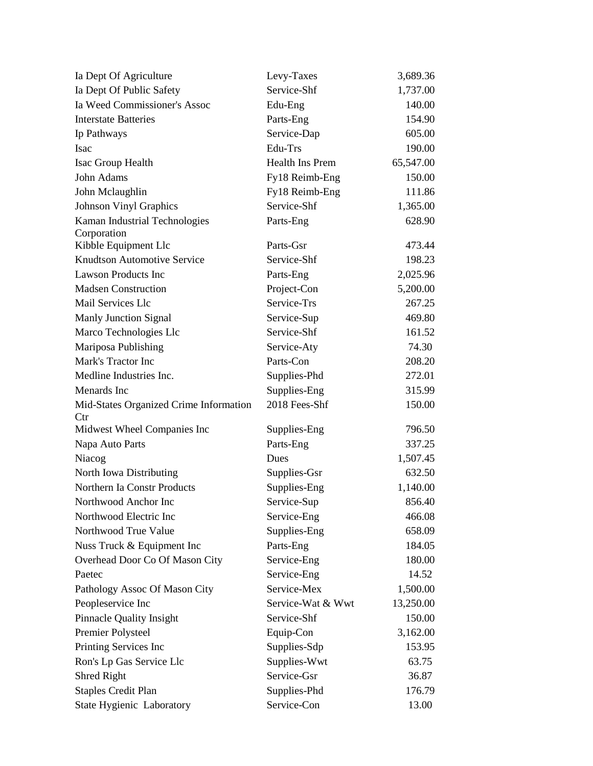| Ia Dept Of Agriculture                 | Levy-Taxes             | 3,689.36  |
|----------------------------------------|------------------------|-----------|
| Ia Dept Of Public Safety               | Service-Shf            | 1,737.00  |
| Ia Weed Commissioner's Assoc           | Edu-Eng                | 140.00    |
| <b>Interstate Batteries</b>            | Parts-Eng              | 154.90    |
| Ip Pathways                            | Service-Dap            | 605.00    |
| Isac                                   | Edu-Trs                | 190.00    |
| <b>Isac Group Health</b>               | <b>Health Ins Prem</b> | 65,547.00 |
| John Adams                             | Fy18 Reimb-Eng         | 150.00    |
| John Mclaughlin                        | Fy18 Reimb-Eng         | 111.86    |
| <b>Johnson Vinyl Graphics</b>          | Service-Shf            | 1,365.00  |
| Kaman Industrial Technologies          | Parts-Eng              | 628.90    |
| Corporation                            |                        |           |
| Kibble Equipment Llc                   | Parts-Gsr              | 473.44    |
| <b>Knudtson Automotive Service</b>     | Service-Shf            | 198.23    |
| <b>Lawson Products Inc</b>             | Parts-Eng              | 2,025.96  |
| <b>Madsen Construction</b>             | Project-Con            | 5,200.00  |
| Mail Services Llc                      | Service-Trs            | 267.25    |
| <b>Manly Junction Signal</b>           | Service-Sup            | 469.80    |
| Marco Technologies Llc                 | Service-Shf            | 161.52    |
| Mariposa Publishing                    | Service-Aty            | 74.30     |
| Mark's Tractor Inc                     | Parts-Con              | 208.20    |
| Medline Industries Inc.                | Supplies-Phd           | 272.01    |
| Menards Inc                            | Supplies-Eng           | 315.99    |
| Mid-States Organized Crime Information | 2018 Fees-Shf          | 150.00    |
| $_{\rm Ctr}$                           |                        |           |
| Midwest Wheel Companies Inc            | Supplies-Eng           | 796.50    |
| Napa Auto Parts                        | Parts-Eng              | 337.25    |
| Niacog                                 | Dues                   | 1,507.45  |
| North Iowa Distributing                | Supplies-Gsr           | 632.50    |
| Northern Ia Constr Products            | Supplies-Eng           | 1,140.00  |
| Northwood Anchor Inc                   | Service-Sup            | 856.40    |
| Northwood Electric Inc                 | Service-Eng            | 466.08    |
| Northwood True Value                   | Supplies-Eng           | 658.09    |
| Nuss Truck & Equipment Inc             | Parts-Eng              | 184.05    |
| Overhead Door Co Of Mason City         | Service-Eng            | 180.00    |
| Paetec                                 | Service-Eng            | 14.52     |
| Pathology Assoc Of Mason City          | Service-Mex            | 1,500.00  |
| Peopleservice Inc                      | Service-Wat & Wwt      | 13,250.00 |
| <b>Pinnacle Quality Insight</b>        | Service-Shf            | 150.00    |
| Premier Polysteel                      | Equip-Con              | 3,162.00  |
| Printing Services Inc                  | Supplies-Sdp           | 153.95    |
| Ron's Lp Gas Service Llc               | Supplies-Wwt           | 63.75     |
| <b>Shred Right</b>                     | Service-Gsr            | 36.87     |
| <b>Staples Credit Plan</b>             | Supplies-Phd           | 176.79    |
| State Hygienic Laboratory              | Service-Con            | 13.00     |